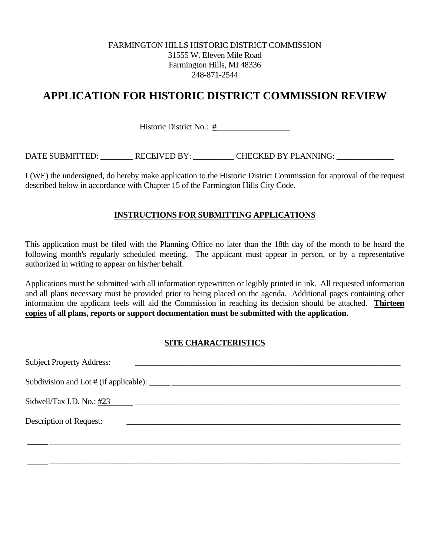## FARMINGTON HILLS HISTORIC DISTRICT COMMISSION 31555 W. Eleven Mile Road Farmington Hills, MI 48336 248-871-2544

## **APPLICATION FOR HISTORIC DISTRICT COMMISSION REVIEW**

Historic District No.: #\_\_\_\_\_\_\_\_\_\_\_\_\_\_\_\_\_\_

DATE SUBMITTED: \_\_\_\_\_\_\_\_\_ RECEIVED BY: \_\_\_\_\_\_\_\_\_ CHECKED BY PLANNING: \_\_\_\_\_\_\_\_\_\_

I (WE) the undersigned, do hereby make application to the Historic District Commission for approval of the request described below in accordance with Chapter 15 of the Farmington Hills City Code.

## **INSTRUCTIONS FOR SUBMITTING APPLICATIONS**

This application must be filed with the Planning Office no later than the 18th day of the month to be heard the following month's regularly scheduled meeting. The applicant must appear in person, or by a representative authorized in writing to appear on his/her behalf.

Applications must be submitted with all information typewritten or legibly printed in ink. All requested information and all plans necessary must be provided prior to being placed on the agenda. Additional pages containing other information the applicant feels will aid the Commission in reaching its decision should be attached. **Thirteen copies of all plans, reports or support documentation must be submitted with the application.** 

## **SITE CHARACTERISTICS**

 $\frac{1}{\sqrt{1-\frac{1}{2}}}\frac{1}{\sqrt{1-\frac{1}{2}}}\frac{1}{\sqrt{1-\frac{1}{2}}}\frac{1}{\sqrt{1-\frac{1}{2}}}\frac{1}{\sqrt{1-\frac{1}{2}}}\frac{1}{\sqrt{1-\frac{1}{2}}}\frac{1}{\sqrt{1-\frac{1}{2}}}\frac{1}{\sqrt{1-\frac{1}{2}}}\frac{1}{\sqrt{1-\frac{1}{2}}}\frac{1}{\sqrt{1-\frac{1}{2}}}\frac{1}{\sqrt{1-\frac{1}{2}}}\frac{1}{\sqrt{1-\frac{1}{2}}}\frac{1}{\sqrt{1-\frac{1}{2}}}\frac{1}{\sqrt{1-\frac{$